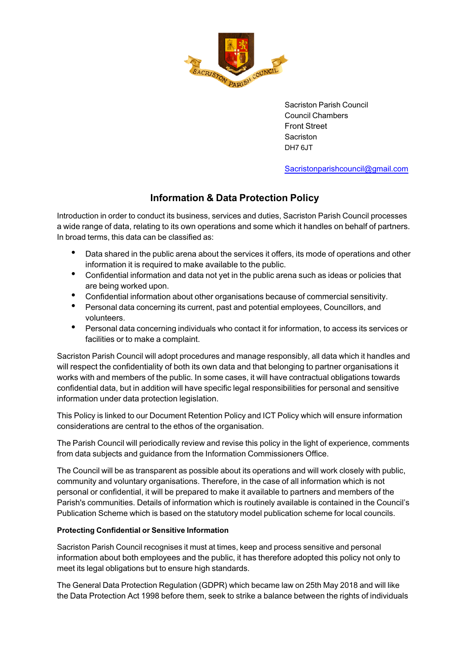

Sacriston Parish Council Council Chambers Front Street Sacriston DH7 6JT

[Sacristonparishcouncil@gmail.com](mailto:Sacristonparishcouncil@gmail.com)

# **Information & Data Protection Policy**

Introduction in order to conduct its business, services and duties, Sacriston Parish Council processes a wide range of data, relating to its own operations and some which it handles on behalf of partners. In broad terms, this data can be classified as:

- Data shared in the public arena about the services it offers, its mode of operations and other information it is required to make available to the public.
- Confidential information and data not yet in the public arena such as ideas or policies that are being worked upon.
- Confidential information about other organisations because of commercial sensitivity.
- Personal data concerning its current, past and potential employees, Councillors, and volunteers.
- Personal data concerning individuals who contact it for information, to access its services or facilities or to make a complaint.

Sacriston Parish Council will adopt procedures and manage responsibly, all data which it handles and will respect the confidentiality of both its own data and that belonging to partner organisations it works with and members of the public. In some cases, it will have contractual obligations towards confidential data, but in addition will have specific legal responsibilities for personal and sensitive information under data protection legislation.

This Policy is linked to our Document Retention Policy and ICT Policy which will ensure information considerations are central to the ethos of the organisation.

The Parish Council will periodically review and revise this policy in the light of experience, comments from data subjects and guidance from the Information Commissioners Office.

The Council will be as transparent as possible about its operations and will work closely with public, community and voluntary organisations. Therefore, in the case of all information which is not personal or confidential, it will be prepared to make it available to partners and members of the Parish's communities. Details of information which is routinely available is contained in the Council's Publication Scheme which is based on the statutory model publication scheme for local councils.

## **Protecting Confidential or Sensitive Information**

Sacriston Parish Council recognises it must at times, keep and process sensitive and personal information about both employees and the public, it has therefore adopted this policy not only to meet its legal obligations but to ensure high standards.

The General Data Protection Regulation (GDPR) which became law on 25th May 2018 and will like the Data Protection Act 1998 before them, seek to strike a balance between the rights of individuals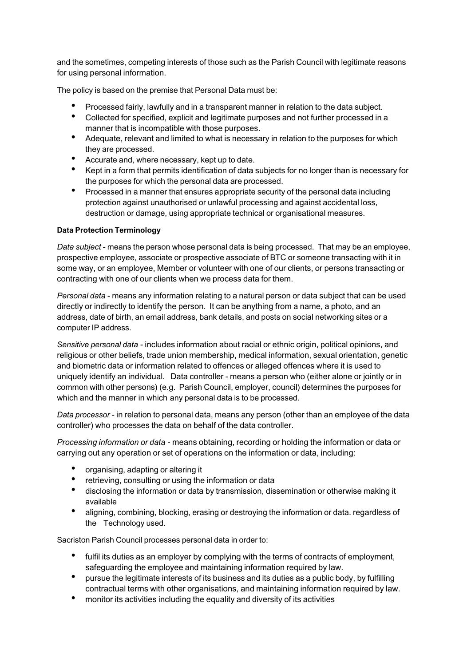and the sometimes, competing interests of those such as the Parish Council with legitimate reasons for using personal information.

The policy is based on the premise that Personal Data must be:

- Processed fairly, lawfully and in a transparent manner in relation to the data subject.
- Collected for specified, explicit and legitimate purposes and not further processed in a manner that is incompatible with those purposes.
- Adequate, relevant and limited to what is necessary in relation to the purposes for which they are processed.
- Accurate and, where necessary, kept up to date.<br>• Kent in a form that nermits identification of data s
- Kept in a form that permits identification of data subjects for no longer than is necessary for the purposes for which the personal data are processed.
- Processed in a manner that ensures appropriate security of the personal data including protection against unauthorised or unlawful processing and against accidental loss, destruction or damage, using appropriate technical or organisational measures.

## **Data Protection Terminology**

*Data subject* - means the person whose personal data is being processed. That may be an employee, prospective employee, associate or prospective associate of BTC or someone transacting with it in some way, or an employee, Member or volunteer with one of our clients, or persons transacting or contracting with one of our clients when we process data for them.

*Personal data* - means any information relating to a natural person or data subject that can be used directly or indirectly to identify the person. It can be anything from a name, a photo, and an address, date of birth, an email address, bank details, and posts on social networking sites or a computer IP address.

*Sensitive personal data* - includes information about racial or ethnic origin, political opinions, and religious or other beliefs, trade union membership, medical information, sexual orientation, genetic and biometric data or information related to offences or alleged offences where it is used to uniquely identify an individual. Data controller - means a person who (either alone or jointly or in common with other persons) (e.g. Parish Council, employer, council) determines the purposes for which and the manner in which any personal data is to be processed.

*Data processor* - in relation to personal data, means any person (other than an employee of the data controller) who processes the data on behalf of the data controller.

*Processing information or data* - means obtaining, recording or holding the information or data or carrying out any operation or set of operations on the information or data, including:

- organising, adapting or altering it
- retrieving, consulting or using the information or data
- disclosing the information or data by transmission, dissemination or otherwise making it available
- aligning, combining, blocking, erasing or destroying the information or data. regardless of the Technology used.

Sacriston Parish Council processes personal data in order to:

- fulfil its duties as an employer by complying with the terms of contracts of employment, safeguarding the employee and maintaining information required by law.
- pursue the legitimate interests of its business and its duties as a public body, by fulfilling contractual terms with other organisations, and maintaining information required by law.
- monitor its activities including the equality and diversity of its activities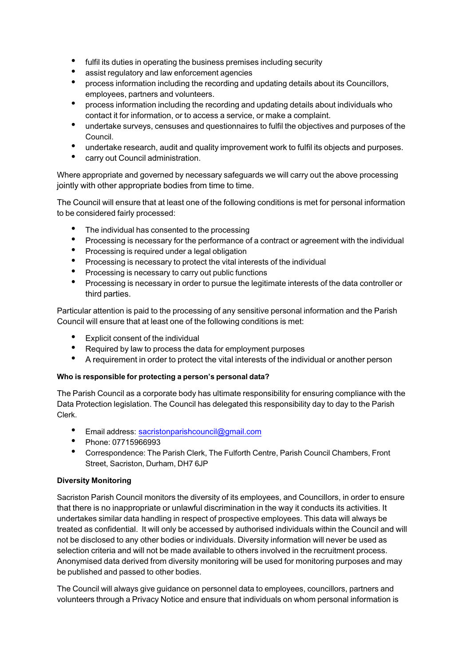- fulfil its duties in operating the business premises including security
- assist regulatory and law enforcement agencies<br>• presence information including the recording and
- process information including the recording and updating details about its Councillors, employees, partners and volunteers.
- process information including the recording and updating details about individuals who contact it for information, or to access a service, or make a complaint.
- undertake surveys, censuses and questionnaires to fulfil the objectives and purposes of the Council.
- undertake research, audit and quality improvement work to fulfil its objects and purposes.
- carry out Council administration.

Where appropriate and governed by necessary safeguards we will carry out the above processing jointly with other appropriate bodies from time to time.

The Council will ensure that at least one of the following conditions is met for personal information to be considered fairly processed:

- The individual has consented to the processing<br>• Processing is necessary for the performance of
- Processing is necessary for the performance of a contract or agreement with the individual
- Processing is required under a legal obligation
- Processing is necessary to protect the vital interests of the individual
- Processing is necessary to carry out public functions<br>• Processing is necessary in order to pursue the logiti
- Processing is necessary in order to pursue the legitimate interests of the data controller or third parties.

Particular attention is paid to the processing of any sensitive personal information and the Parish Council will ensure that at least one of the following conditions is met:

- Explicit consent of the individual
- Required by law to process the data for employment purposes<br>• A requirement in order to protect the vital interests of the indiv
- A requirement in order to protect the vital interests of the individual or another person

## **Who is responsible for protecting a person's personal data?**

The Parish Council as a corporate body has ultimate responsibility for ensuring compliance with the Data Protection legislation. The Council has delegated this responsibility day to day to the Parish Clerk.

- Email address: sacristonparishcouncil@gmail.com
- Phone: 07715966993
- Correspondence: The Parish Clerk, The Fulforth Centre, Parish Council Chambers, Front Street, Sacriston, Durham, DH7 6JP

## **Diversity Monitoring**

Sacriston Parish Council monitors the diversity of its employees, and Councillors, in order to ensure that there is no inappropriate or unlawful discrimination in the way it conducts its activities. It undertakes similar data handling in respect of prospective employees. This data will always be treated as confidential. It will only be accessed by authorised individuals within the Council and will not be disclosed to any other bodies or individuals. Diversity information will never be used as selection criteria and will not be made available to others involved in the recruitment process. Anonymised data derived from diversity monitoring will be used for monitoring purposes and may be published and passed to other bodies.

The Council will always give guidance on personnel data to employees, councillors, partners and volunteers through a Privacy Notice and ensure that individuals on whom personal information is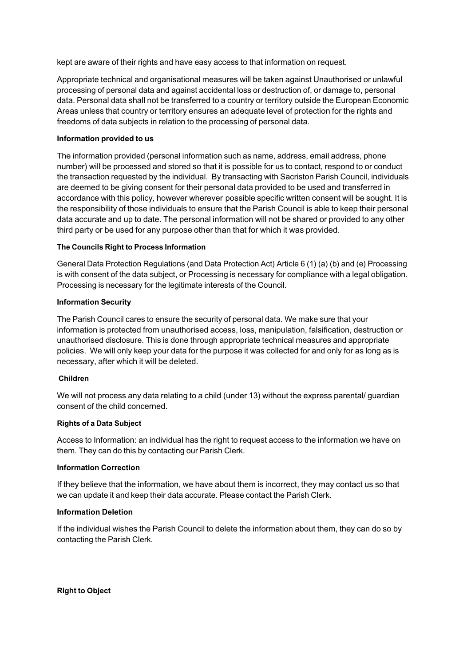kept are aware of their rights and have easy access to that information on request.

Appropriate technical and organisational measures will be taken against Unauthorised or unlawful processing of personal data and against accidental loss or destruction of, or damage to, personal data. Personal data shall not be transferred to a country or territory outside the European Economic Areas unless that country or territory ensures an adequate level of protection for the rights and freedoms of data subjects in relation to the processing of personal data.

## **Information provided to us**

The information provided (personal information such as name, address, email address, phone number) will be processed and stored so that it is possible for us to contact, respond to or conduct the transaction requested by the individual. By transacting with Sacriston Parish Council, individuals are deemed to be giving consent for their personal data provided to be used and transferred in accordance with this policy, however wherever possible specific written consent will be sought. It is the responsibility of those individuals to ensure that the Parish Council is able to keep their personal data accurate and up to date. The personal information will not be shared or provided to any other third party or be used for any purpose other than that for which it was provided.

#### **The Councils Right to Process Information**

General Data Protection Regulations (and Data Protection Act) Article 6 (1) (a) (b) and (e) Processing is with consent of the data subject, or Processing is necessary for compliance with a legal obligation. Processing is necessary for the legitimate interests of the Council.

#### **Information Security**

The Parish Council cares to ensure the security of personal data. We make sure that your information is protected from unauthorised access, loss, manipulation, falsification, destruction or unauthorised disclosure. This is done through appropriate technical measures and appropriate policies. We will only keep your data for the purpose it was collected for and only for as long as is necessary, after which it will be deleted.

#### **Children**

We will not process any data relating to a child (under 13) without the express parental/ guardian consent of the child concerned.

#### **Rights of a Data Subject**

Access to Information: an individual has the right to request access to the information we have on them. They can do this by contacting our Parish Clerk.

#### **Information Correction**

If they believe that the information, we have about them is incorrect, they may contact us so that we can update it and keep their data accurate. Please contact the Parish Clerk.

#### **Information Deletion**

If the individual wishes the Parish Council to delete the information about them, they can do so by contacting the Parish Clerk.

**Right to Object**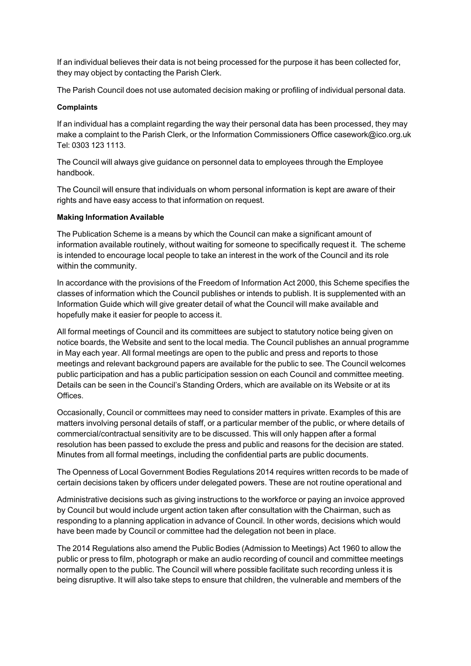If an individual believes their data is not being processed for the purpose it has been collected for, they may object by contacting the Parish Clerk.

The Parish Council does not use automated decision making or profiling of individual personal data.

#### **Complaints**

If an individual has a complaint regarding the way their personal data has been processed, they may make a complaint to the Parish Clerk, or the Information Commissioners Office casework@ico.org.uk Tel: 0303 123 1113.

The Council will always give guidance on personnel data to employees through the Employee handbook.

The Council will ensure that individuals on whom personal information is kept are aware of their rights and have easy access to that information on request.

## **Making Information Available**

The Publication Scheme is a means by which the Council can make a significant amount of information available routinely, without waiting for someone to specifically request it. The scheme is intended to encourage local people to take an interest in the work of the Council and its role within the community.

In accordance with the provisions of the Freedom of Information Act 2000, this Scheme specifies the classes of information which the Council publishes or intends to publish. It is supplemented with an Information Guide which will give greater detail of what the Council will make available and hopefully make it easier for people to access it.

All formal meetings of Council and its committees are subject to statutory notice being given on notice boards, the Website and sent to the local media. The Council publishes an annual programme in May each year. All formal meetings are open to the public and press and reports to those meetings and relevant background papers are available for the public to see. The Council welcomes public participation and has a public participation session on each Council and committee meeting. Details can be seen in the Council's Standing Orders, which are available on its Website or at its Offices.

Occasionally, Council or committees may need to consider matters in private. Examples of this are matters involving personal details of staff, or a particular member of the public, or where details of commercial/contractual sensitivity are to be discussed. This will only happen after a formal resolution has been passed to exclude the press and public and reasons for the decision are stated. Minutes from all formal meetings, including the confidential parts are public documents.

The Openness of Local Government Bodies Regulations 2014 requires written records to be made of certain decisions taken by officers under delegated powers. These are not routine operational and

Administrative decisions such as giving instructions to the workforce or paying an invoice approved by Council but would include urgent action taken after consultation with the Chairman, such as responding to a planning application in advance of Council. In other words, decisions which would have been made by Council or committee had the delegation not been in place.

The 2014 Regulations also amend the Public Bodies (Admission to Meetings) Act 1960 to allow the public or press to film, photograph or make an audio recording of council and committee meetings normally open to the public. The Council will where possible facilitate such recording unless it is being disruptive. It will also take steps to ensure that children, the vulnerable and members of the